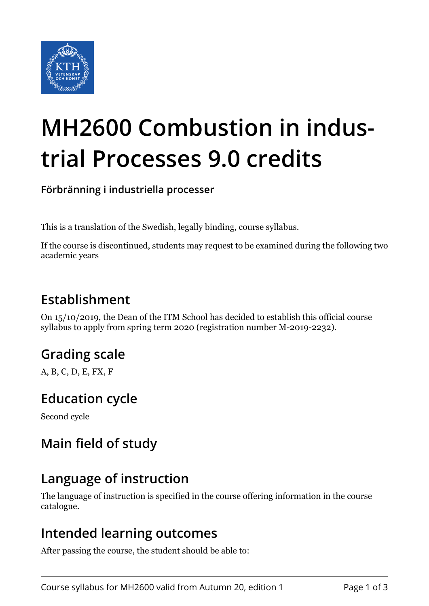

# **MH2600 Combustion in industrial Processes 9.0 credits**

**Förbränning i industriella processer**

This is a translation of the Swedish, legally binding, course syllabus.

If the course is discontinued, students may request to be examined during the following two academic years

## **Establishment**

On 15/10/2019, the Dean of the ITM School has decided to establish this official course syllabus to apply from spring term 2020 (registration number M-2019-2232).

# **Grading scale**

A, B, C, D, E, FX, F

## **Education cycle**

Second cycle

# **Main field of study**

## **Language of instruction**

The language of instruction is specified in the course offering information in the course catalogue.

#### **Intended learning outcomes**

After passing the course, the student should be able to: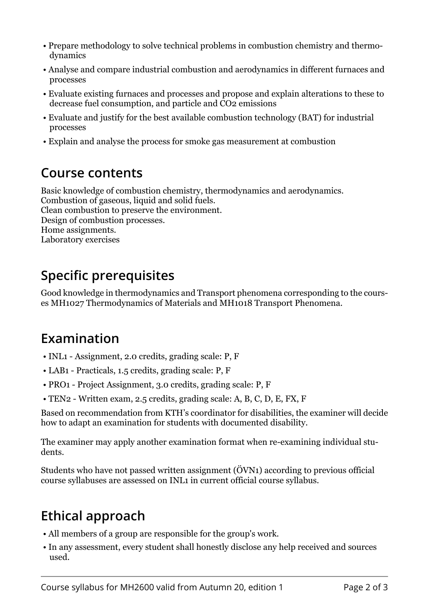- Prepare methodology to solve technical problems in combustion chemistry and thermodynamics
- Analyse and compare industrial combustion and aerodynamics in different furnaces and processes
- Evaluate existing furnaces and processes and propose and explain alterations to these to decrease fuel consumption, and particle and CO2 emissions
- Evaluate and justify for the best available combustion technology (BAT) for industrial processes
- Explain and analyse the process for smoke gas measurement at combustion

## **Course contents**

Basic knowledge of combustion chemistry, thermodynamics and aerodynamics. Combustion of gaseous, liquid and solid fuels. Clean combustion to preserve the environment. Design of combustion processes. Home assignments. Laboratory exercises

# **Specific prerequisites**

Good knowledge in thermodynamics and Transport phenomena corresponding to the courses MH1027 Thermodynamics of Materials and MH1018 Transport Phenomena.

## **Examination**

- INL1 Assignment, 2.0 credits, grading scale: P, F
- LAB1 Practicals, 1.5 credits, grading scale: P, F
- PRO1 Project Assignment, 3.0 credits, grading scale: P, F
- TEN2 Written exam, 2.5 credits, grading scale: A, B, C, D, E, FX, F

Based on recommendation from KTH's coordinator for disabilities, the examiner will decide how to adapt an examination for students with documented disability.

The examiner may apply another examination format when re-examining individual students.

Students who have not passed written assignment (ÖVN1) according to previous official course syllabuses are assessed on INL1 in current official course syllabus.

# **Ethical approach**

- All members of a group are responsible for the group's work.
- In any assessment, every student shall honestly disclose any help received and sources used.